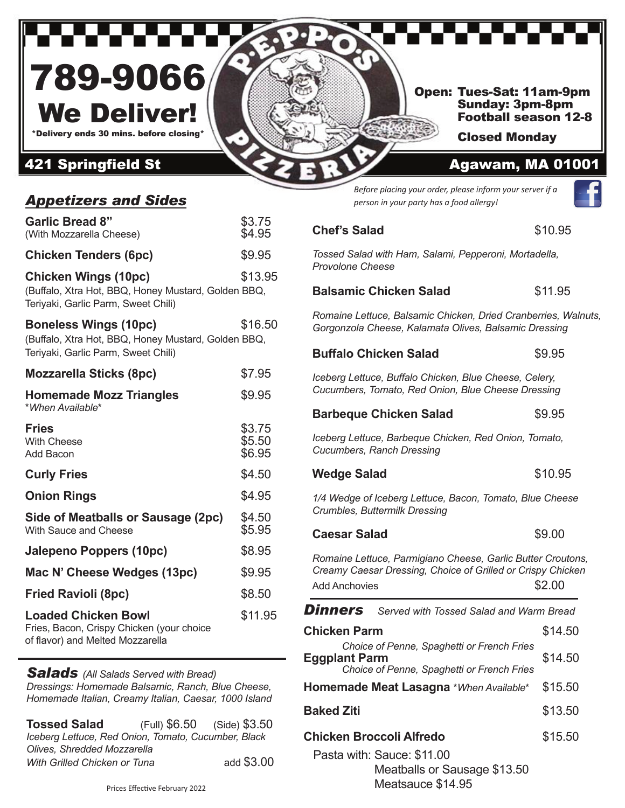

## *Appetizers and Sides*

| <b>Garlic Bread 8"</b><br>(With Mozzarella Cheese)                                                                         | \$3.75<br>\$4.95           |
|----------------------------------------------------------------------------------------------------------------------------|----------------------------|
| <b>Chicken Tenders (6pc)</b>                                                                                               | \$9.95                     |
| <b>Chicken Wings (10pc)</b><br>(Buffalo, Xtra Hot, BBQ, Honey Mustard, Golden BBQ,<br>Teriyaki, Garlic Parm, Sweet Chili)  | \$13.95                    |
| <b>Boneless Wings (10pc)</b><br>(Buffalo, Xtra Hot, BBQ, Honey Mustard, Golden BBQ,<br>Teriyaki, Garlic Parm, Sweet Chili) | \$16.50                    |
| <b>Mozzarella Sticks (8pc)</b>                                                                                             | \$7.95                     |
| <b>Homemade Mozz Triangles</b><br>*When Available*                                                                         | \$9.95                     |
| <b>Fries</b><br><b>With Cheese</b><br>Add Bacon                                                                            | \$3.75<br>\$5.50<br>\$6.95 |
| <b>Curly Fries</b>                                                                                                         | \$4.50                     |
| <b>Onion Rings</b>                                                                                                         | \$4.95                     |
| Side of Meatballs or Sausage (2pc)<br>With Sauce and Cheese                                                                | \$4.50<br>\$5.95           |
| Jalepeno Poppers (10pc)                                                                                                    | \$8.95                     |
| Mac N' Cheese Wedges (13pc)                                                                                                | \$9.95                     |
| <b>Fried Ravioli (8pc)</b>                                                                                                 | \$8.50                     |
| <b>Loaded Chicken Bowl</b><br>Fries, Bacon, Crispy Chicken (your choice<br>of flavor) and Melted Mozzarella                | \$11.95                    |

#### *Salads (All Salads Served with Bread)*

*Dressings: Homemade Balsamic, Ranch, Blue Cheese, Homemade Italian, Creamy Italian, Caesar, 1000 Island*

| <b>Tossed Salad</b>                                 | (Full) \$6.50 (Side) \$3.50 |
|-----------------------------------------------------|-----------------------------|
| Iceberg Lettuce, Red Onion, Tomato, Cucumber, Black |                             |
| Olives, Shredded Mozzarella                         |                             |
| With Grilled Chicken or Tuna                        | add \$3.00                  |

*Before placing your order, please inform your server if a person in your party has a food allergy!*

# **Chef's Salad**  \$10.95 *Tossed Salad with Ham, Salami, Pepperoni, Mortadella, Provolone Cheese* **Balsamic Chicken Salad 511.95**

*Romaine Lettuce, Balsamic Chicken, Dried Cranberries, Walnuts, Gorgonzola Cheese, Kalamata Olives, Balsamic Dressing*

## **Buffalo Chicken Salad 59.95**

*Iceberg Lettuce, Buffalo Chicken, Blue Cheese, Celery, Cucumbers, Tomato, Red Onion, Blue Cheese Dressing*

## **Barbeque Chicken Salad \$9.95**

*Iceberg Lettuce, Barbeque Chicken, Red Onion, Tomato, Cucumbers, Ranch Dressing*

#### **Wedge Salad**  \$10.95

*1/4 Wedge of Iceberg Lettuce, Bacon, Tomato, Blue Cheese Crumbles, Buttermilk Dressing*

**Caesar Salad**  \$9.00

*Romaine Lettuce, Parmigiano Cheese, Garlic Butter Croutons, Creamy Caesar Dressing, Choice of Grilled or Crispy Chicken* Add Anchovies \$2.00

*Dinners Served with Tossed Salad and Warm Bread*

| <b>Chicken Parm</b>                                                                                              | \$14.50 |
|------------------------------------------------------------------------------------------------------------------|---------|
| Choice of Penne, Spaghetti or French Fries<br><b>Eggplant Parm</b><br>Choice of Penne, Spaghetti or French Fries | \$14.50 |
| <b>Homemade Meat Lasagna *When Available*</b>                                                                    | \$15.50 |
| <b>Baked Ziti</b>                                                                                                | \$13.50 |
| Chicken Broccoli Alfredo                                                                                         | \$15.50 |
| Pasta with: Sauce: \$11.00<br>Meatballs or Sausage \$13.50                                                       |         |

Meatsauce \$14.95